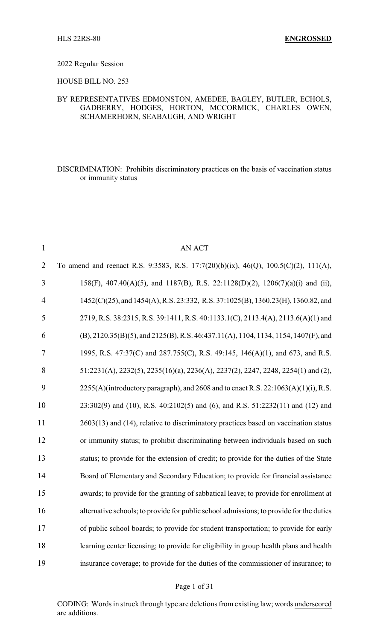#### 2022 Regular Session

HOUSE BILL NO. 253

#### BY REPRESENTATIVES EDMONSTON, AMEDEE, BAGLEY, BUTLER, ECHOLS, GADBERRY, HODGES, HORTON, MCCORMICK, CHARLES OWEN, SCHAMERHORN, SEABAUGH, AND WRIGHT

DISCRIMINATION: Prohibits discriminatory practices on the basis of vaccination status or immunity status

| $\mathbf{1}$   | AN ACT                                                                                   |
|----------------|------------------------------------------------------------------------------------------|
| $\overline{2}$ | To amend and reenact R.S. 9:3583, R.S. 17:7(20)(b)(ix), 46(Q), 100.5(C)(2), 111(A),      |
| 3              | 158(F), 407.40(A)(5), and 1187(B), R.S. 22:1128(D)(2), 1206(7)(a)(i) and (ii),           |
| $\overline{4}$ | 1452(C)(25), and 1454(A), R.S. 23:332, R.S. 37:1025(B), 1360.23(H), 1360.82, and         |
| 5              | 2719, R.S. 38:2315, R.S. 39:1411, R.S. 40:1133.1(C), 2113.4(A), 2113.6(A)(1) and         |
| 6              | (B), 2120.35(B)(5), and 2125(B), R.S. 46:437.11(A), 1104, 1134, 1154, 1407(F), and       |
| 7              | 1995, R.S. 47:37(C) and 287.755(C), R.S. 49:145, 146(A)(1), and 673, and R.S.            |
| 8              | 51:2231(A), 2232(5), 2235(16)(a), 2236(A), 2237(2), 2247, 2248, 2254(1) and (2),         |
| 9              | $2255(A)$ (introductory paragraph), and 2608 and to enact R.S. $22:1063(A)(1)(i)$ , R.S. |
| 10             | 23:302(9) and (10), R.S. 40:2102(5) and (6), and R.S. 51:2232(11) and (12) and           |
| 11             | 2603(13) and (14), relative to discriminatory practices based on vaccination status      |
| 12             | or immunity status; to prohibit discriminating between individuals based on such         |
| 13             | status; to provide for the extension of credit; to provide for the duties of the State   |
| 14             | Board of Elementary and Secondary Education; to provide for financial assistance         |
| 15             | awards; to provide for the granting of sabbatical leave; to provide for enrollment at    |
| 16             | alternative schools; to provide for public school admissions; to provide for the duties  |
| 17             | of public school boards; to provide for student transportation; to provide for early     |
| 18             | learning center licensing; to provide for eligibility in group health plans and health   |
| 19             | insurance coverage; to provide for the duties of the commissioner of insurance; to       |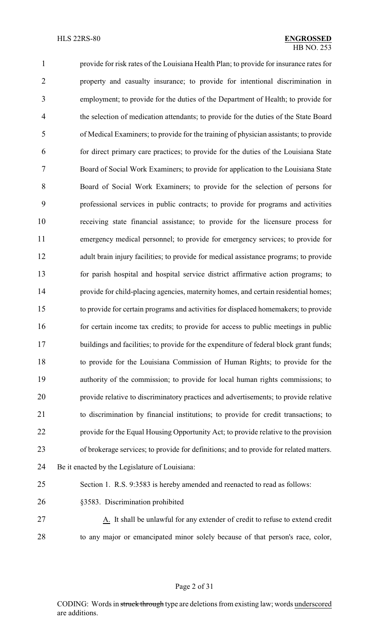provide for risk rates of the Louisiana Health Plan; to provide for insurance rates for property and casualty insurance; to provide for intentional discrimination in employment; to provide for the duties of the Department of Health; to provide for the selection of medication attendants; to provide for the duties of the State Board of Medical Examiners; to provide for the training of physician assistants; to provide for direct primary care practices; to provide for the duties of the Louisiana State Board of Social Work Examiners; to provide for application to the Louisiana State Board of Social Work Examiners; to provide for the selection of persons for professional services in public contracts; to provide for programs and activities receiving state financial assistance; to provide for the licensure process for emergency medical personnel; to provide for emergency services; to provide for adult brain injury facilities; to provide for medical assistance programs; to provide for parish hospital and hospital service district affirmative action programs; to provide for child-placing agencies, maternity homes, and certain residential homes; to provide for certain programs and activities for displaced homemakers; to provide 16 for certain income tax credits; to provide for access to public meetings in public 17 buildings and facilities; to provide for the expenditure of federal block grant funds; to provide for the Louisiana Commission of Human Rights; to provide for the authority of the commission; to provide for local human rights commissions; to provide relative to discriminatory practices and advertisements; to provide relative to discrimination by financial institutions; to provide for credit transactions; to provide for the Equal Housing Opportunity Act; to provide relative to the provision of brokerage services; to provide for definitions; and to provide for related matters. Be it enacted by the Legislature of Louisiana: Section 1. R.S. 9:3583 is hereby amended and reenacted to read as follows: §3583. Discrimination prohibited A. It shall be unlawful for any extender of credit to refuse to extend credit to any major or emancipated minor solely because of that person's race, color,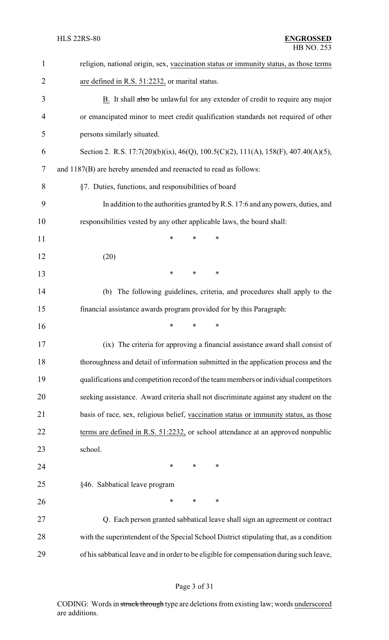| $\mathbf{1}$   | religion, national origin, sex, vaccination status or immunity status, as those terms   |
|----------------|-----------------------------------------------------------------------------------------|
| $\overline{2}$ | are defined in R.S. 51:2232, or marital status.                                         |
| 3              | B. It shall also be unlawful for any extender of credit to require any major            |
| 4              | or emancipated minor to meet credit qualification standards not required of other       |
| 5              | persons similarly situated.                                                             |
| 6              | Section 2. R.S. 17:7(20)(b)(ix), 46(Q), 100.5(C)(2), 111(A), 158(F), 407.40(A)(5),      |
| 7              | and 1187(B) are hereby amended and reenacted to read as follows:                        |
| 8              | §7. Duties, functions, and responsibilities of board                                    |
| 9              | In addition to the authorities granted by R.S. 17:6 and any powers, duties, and         |
| 10             | responsibilities vested by any other applicable laws, the board shall:                  |
| 11             | $\ast$<br>*<br>*                                                                        |
| 12             | (20)                                                                                    |
| 13             | *<br>$\ast$<br>∗                                                                        |
| 14             | The following guidelines, criteria, and procedures shall apply to the<br>(b)            |
| 15             | financial assistance awards program provided for by this Paragraph:                     |
| 16             | $\ast$<br>$\ast$<br>$\ast$                                                              |
| 17             | (ix) The criteria for approving a financial assistance award shall consist of           |
| 18             | thoroughness and detail of information submitted in the application process and the     |
| 19             | qualifications and competition record of the team members or individual competitors     |
| 20             | seeking assistance. Award criteria shall not discriminate against any student on the    |
| 21             | basis of race, sex, religious belief, vaccination status or immunity status, as those   |
| 22             | terms are defined in R.S. 51:2232, or school attendance at an approved nonpublic        |
| 23             | school.                                                                                 |
| 24             | $\ast$<br>$\ast$<br>$\ast$                                                              |
| 25             | §46. Sabbatical leave program                                                           |
| 26             | $\ast$<br>$\ast$<br>∗                                                                   |
| 27             | Q. Each person granted sabbatical leave shall sign an agreement or contract             |
| 28             | with the superintendent of the Special School District stipulating that, as a condition |
| 29             | of his sabbatical leave and in order to be eligible for compensation during such leave, |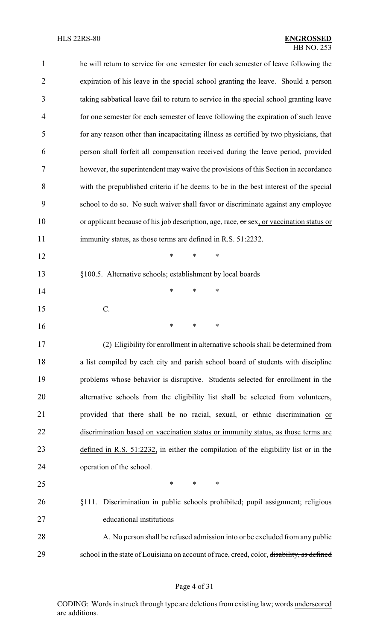| 1  | he will return to service for one semester for each semester of leave following the       |
|----|-------------------------------------------------------------------------------------------|
| 2  | expiration of his leave in the special school granting the leave. Should a person         |
| 3  | taking sabbatical leave fail to return to service in the special school granting leave    |
| 4  | for one semester for each semester of leave following the expiration of such leave        |
| 5  | for any reason other than incapacitating illness as certified by two physicians, that     |
| 6  | person shall forfeit all compensation received during the leave period, provided          |
| 7  | however, the superintendent may waive the provisions of this Section in accordance        |
| 8  | with the prepublished criteria if he deems to be in the best interest of the special      |
| 9  | school to do so. No such waiver shall favor or discriminate against any employee          |
| 10 | or applicant because of his job description, age, race, or sex, or vaccination status or  |
| 11 | immunity status, as those terms are defined in R.S. 51:2232.                              |
| 12 | ∗<br>*<br>∗                                                                               |
| 13 | §100.5. Alternative schools; establishment by local boards                                |
| 14 | ∗<br>*<br>∗                                                                               |
| 15 | $C$ .                                                                                     |
| 16 | ∗<br>*<br>*                                                                               |
| 17 | (2) Eligibility for enrollment in alternative schools shall be determined from            |
| 18 | a list compiled by each city and parish school board of students with discipline          |
| 19 | problems whose behavior is disruptive. Students selected for enrollment in the            |
| 20 | alternative schools from the eligibility list shall be selected from volunteers,          |
| 21 | provided that there shall be no racial, sexual, or ethnic discrimination or               |
| 22 | discrimination based on vaccination status or immunity status, as those terms are         |
| 23 | defined in R.S. $51:2232$ , in either the compilation of the eligibility list or in the   |
| 24 | operation of the school.                                                                  |
| 25 | ∗<br>∗<br>∗                                                                               |
| 26 | §111. Discrimination in public schools prohibited; pupil assignment; religious            |
| 27 | educational institutions                                                                  |
| 28 | A. No person shall be refused admission into or be excluded from any public               |
| 29 | school in the state of Louisiana on account of race, creed, color, disability, as defined |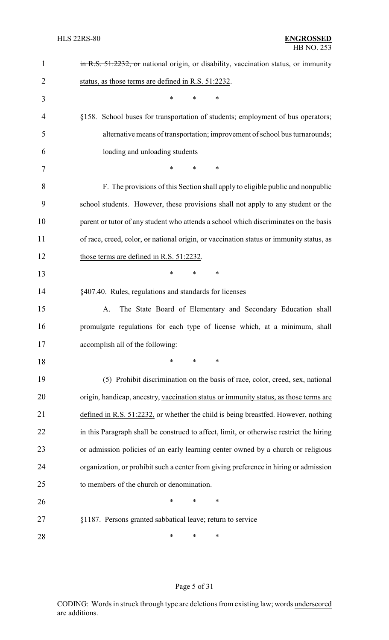| $\mathbf{1}$   | in R.S. 51:2232, or national origin, or disability, vaccination status, or immunity     |
|----------------|-----------------------------------------------------------------------------------------|
| $\overline{2}$ | status, as those terms are defined in R.S. 51:2232.                                     |
| 3              | *<br>*<br>*                                                                             |
| 4              | §158. School buses for transportation of students; employment of bus operators;         |
| 5              | alternative means of transportation; improvement of school bus turnarounds;             |
| 6              | loading and unloading students                                                          |
| 7              | $\ast$<br>*<br>∗                                                                        |
| 8              | F. The provisions of this Section shall apply to eligible public and nonpublic          |
| 9              | school students. However, these provisions shall not apply to any student or the        |
| 10             | parent or tutor of any student who attends a school which discriminates on the basis    |
| 11             | of race, creed, color, or national origin, or vaccination status or immunity status, as |
| 12             | those terms are defined in R.S. 51:2232.                                                |
| 13             | *<br>*<br>∗                                                                             |
| 14             | §407.40. Rules, regulations and standards for licenses                                  |
| 15             | The State Board of Elementary and Secondary Education shall<br>A.                       |
| 16             | promulgate regulations for each type of license which, at a minimum, shall              |
| 17             | accomplish all of the following:                                                        |
| 18             | *<br>*<br>∗                                                                             |
| 19             | (5) Prohibit discrimination on the basis of race, color, creed, sex, national           |
| 20             | origin, handicap, ancestry, vaccination status or immunity status, as those terms are   |
| 21             | defined in R.S. 51:2232, or whether the child is being breastfed. However, nothing      |
| 22             | in this Paragraph shall be construed to affect, limit, or otherwise restrict the hiring |
| 23             | or admission policies of an early learning center owned by a church or religious        |
| 24             | organization, or prohibit such a center from giving preference in hiring or admission   |
| 25             | to members of the church or denomination.                                               |
| 26             | *<br>*<br>∗                                                                             |
| 27             | §1187. Persons granted sabbatical leave; return to service                              |
| 28             | ∗<br>∗<br>∗                                                                             |

# Page 5 of 31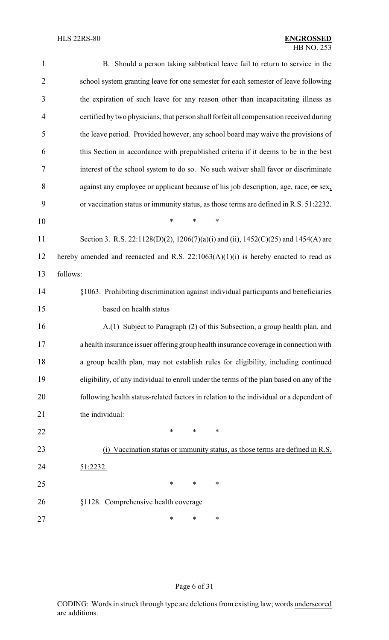| $\mathbf{1}$   | B. Should a person taking sabbatical leave fail to return to service in the              |
|----------------|------------------------------------------------------------------------------------------|
| $\overline{2}$ | school system granting leave for one semester for each semester of leave following       |
| 3              | the expiration of such leave for any reason other than incapacitating illness as         |
| 4              | certified by two physicians, that person shall forfeit all compensation received during  |
| 5              | the leave period. Provided however, any school board may waive the provisions of         |
| 6              | this Section in accordance with prepublished criteria if it deems to be in the best      |
| 7              | interest of the school system to do so. No such waiver shall favor or discriminate       |
| 8              | against any employee or applicant because of his job description, age, race, or sex,     |
| 9              | or vaccination status or immunity status, as those terms are defined in R.S. 51:2232.    |
| 10             | *<br>$\ast$<br>*                                                                         |
| 11             | Section 3. R.S. 22:1128(D)(2), 1206(7)(a)(i) and (ii), 1452(C)(25) and 1454(A) are       |
| 12             | hereby amended and reenacted and R.S. $22:1063(A)(1)(i)$ is hereby enacted to read as    |
| 13             | follows:                                                                                 |
| 14             | §1063. Prohibiting discrimination against individual participants and beneficiaries      |
| 15             | based on health status                                                                   |
| 16             | A.(1) Subject to Paragraph (2) of this Subsection, a group health plan, and              |
| 17             | a health insurance issuer offering group health insurance coverage in connection with    |
| 18             | a group health plan, may not establish rules for eligibility, including continued        |
| 19             | eligibility, of any individual to enroll under the terms of the plan based on any of the |
| 20             | following health status-related factors in relation to the individual or a dependent of  |
| 21             | the individual:                                                                          |
| 22             | *<br>*<br>∗                                                                              |
| 23             | Vaccination status or immunity status, as those terms are defined in R.S.<br>(1)         |
| 24             | 51:2232.                                                                                 |
| 25             | ∗<br>*<br>∗                                                                              |
| 26             | §1128. Comprehensive health coverage                                                     |
| 27             | ∗<br>∗<br>∗                                                                              |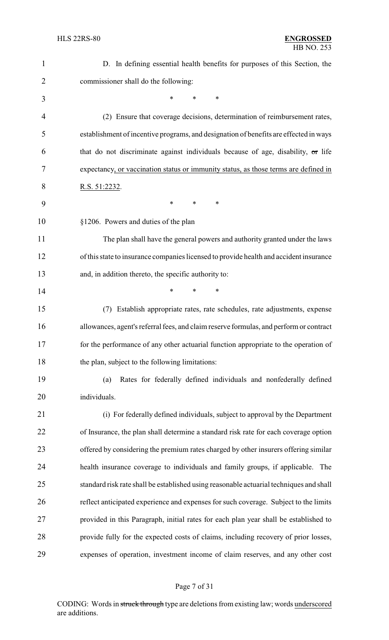| 1              | D. In defining essential health benefits for purposes of this Section, the              |
|----------------|-----------------------------------------------------------------------------------------|
| $\overline{2}$ | commissioner shall do the following:                                                    |
| 3              | $\ast$<br>$\ast$<br>∗                                                                   |
| 4              | (2) Ensure that coverage decisions, determination of reimbursement rates,               |
| 5              | establishment of incentive programs, and designation of benefits are effected in ways   |
| 6              | that do not discriminate against individuals because of age, disability, or life        |
| 7              | expectancy, or vaccination status or immunity status, as those terms are defined in     |
| 8              | R.S. 51:2232.                                                                           |
| 9              | ∗<br>$\ast$<br>∗                                                                        |
| 10             | §1206. Powers and duties of the plan                                                    |
| 11             | The plan shall have the general powers and authority granted under the laws             |
| 12             | of this state to insurance companies licensed to provide health and accident insurance  |
| 13             | and, in addition thereto, the specific authority to:                                    |
| 14             | $\ast$<br>*<br>∗                                                                        |
| 15             | (7) Establish appropriate rates, rate schedules, rate adjustments, expense              |
| 16             | allowances, agent's referral fees, and claim reserve formulas, and perform or contract  |
| 17             | for the performance of any other actuarial function appropriate to the operation of     |
| 18             | the plan, subject to the following limitations:                                         |
| 19             | Rates for federally defined individuals and nonfederally defined<br>(a)                 |
| 20             | individuals.                                                                            |
| 21             | (i) For federally defined individuals, subject to approval by the Department            |
| 22             | of Insurance, the plan shall determine a standard risk rate for each coverage option    |
| 23             | offered by considering the premium rates charged by other insurers offering similar     |
| 24             | health insurance coverage to individuals and family groups, if applicable. The          |
| 25             | standard risk rate shall be established using reasonable actuarial techniques and shall |
| 26             | reflect anticipated experience and expenses for such coverage. Subject to the limits    |
| 27             | provided in this Paragraph, initial rates for each plan year shall be established to    |
| 28             | provide fully for the expected costs of claims, including recovery of prior losses,     |
| 29             | expenses of operation, investment income of claim reserves, and any other cost          |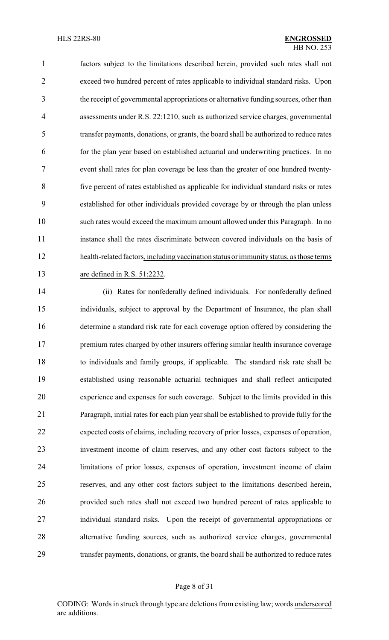factors subject to the limitations described herein, provided such rates shall not exceed two hundred percent of rates applicable to individual standard risks. Upon the receipt of governmental appropriations or alternative funding sources, other than assessments under R.S. 22:1210, such as authorized service charges, governmental transfer payments, donations, or grants, the board shall be authorized to reduce rates for the plan year based on established actuarial and underwriting practices. In no event shall rates for plan coverage be less than the greater of one hundred twenty- five percent of rates established as applicable for individual standard risks or rates established for other individuals provided coverage by or through the plan unless such rates would exceed the maximum amount allowed under this Paragraph. In no instance shall the rates discriminate between covered individuals on the basis of health-related factors, including vaccination status or immunity status, as those terms are defined in R.S. 51:2232.

 (ii) Rates for nonfederally defined individuals. For nonfederally defined individuals, subject to approval by the Department of Insurance, the plan shall determine a standard risk rate for each coverage option offered by considering the premium rates charged by other insurers offering similar health insurance coverage to individuals and family groups, if applicable. The standard risk rate shall be established using reasonable actuarial techniques and shall reflect anticipated experience and expenses for such coverage. Subject to the limits provided in this Paragraph, initial rates for each plan year shall be established to provide fully for the expected costs of claims, including recovery of prior losses, expenses of operation, investment income of claim reserves, and any other cost factors subject to the limitations of prior losses, expenses of operation, investment income of claim reserves, and any other cost factors subject to the limitations described herein, provided such rates shall not exceed two hundred percent of rates applicable to individual standard risks. Upon the receipt of governmental appropriations or alternative funding sources, such as authorized service charges, governmental transfer payments, donations, or grants, the board shall be authorized to reduce rates

#### Page 8 of 31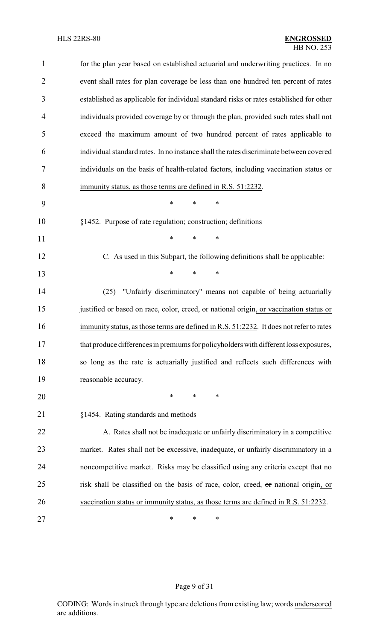| $\mathbf{1}$ | for the plan year based on established actuarial and underwriting practices. In no      |
|--------------|-----------------------------------------------------------------------------------------|
| 2            | event shall rates for plan coverage be less than one hundred ten percent of rates       |
| 3            | established as applicable for individual standard risks or rates established for other  |
| 4            | individuals provided coverage by or through the plan, provided such rates shall not     |
| 5            | exceed the maximum amount of two hundred percent of rates applicable to                 |
| 6            | individual standard rates. In no instance shall the rates discriminate between covered  |
| 7            | individuals on the basis of health-related factors, including vaccination status or     |
| 8            | immunity status, as those terms are defined in R.S. 51:2232.                            |
| 9            | $\ast$<br>*<br>$\ast$                                                                   |
| 10           | §1452. Purpose of rate regulation; construction; definitions                            |
| 11           | *<br>*<br>∗                                                                             |
| 12           | C. As used in this Subpart, the following definitions shall be applicable:              |
| 13           | $\ast$<br>*<br>*                                                                        |
| 14           | "Unfairly discriminatory" means not capable of being actuarially<br>(25)                |
| 15           | justified or based on race, color, creed, or national origin, or vaccination status or  |
| 16           | immunity status, as those terms are defined in R.S. 51:2232. It does not refer to rates |
| 17           | that produce differences in premiums for policyholders with different loss exposures,   |
| 18           | so long as the rate is actuarially justified and reflects such differences with         |
| 19           | reasonable accuracy.                                                                    |
| 20           | $\ast$<br>$\ast$<br>$\ast$                                                              |
| 21           | §1454. Rating standards and methods                                                     |
| 22           | A. Rates shall not be inadequate or unfairly discriminatory in a competitive            |
| 23           | market. Rates shall not be excessive, inadequate, or unfairly discriminatory in a       |
| 24           | noncompetitive market. Risks may be classified using any criteria except that no        |
| 25           | risk shall be classified on the basis of race, color, creed, or national origin, or     |
| 26           | vaccination status or immunity status, as those terms are defined in R.S. 51:2232.      |
| 27           | ∗<br>∗<br>∗                                                                             |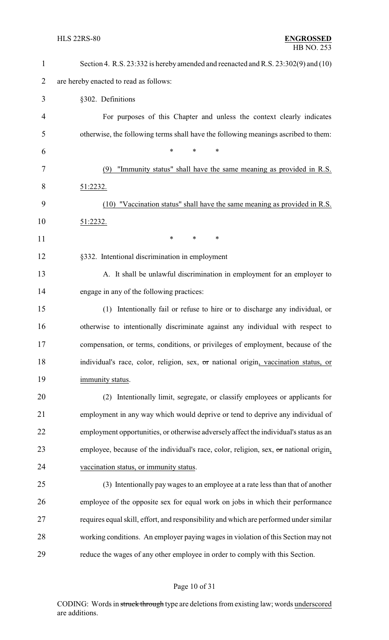| $\mathbf{1}$   | Section 4. R.S. 23:332 is hereby amended and reenacted and R.S. 23:302(9) and (10)     |
|----------------|----------------------------------------------------------------------------------------|
| $\overline{2}$ | are hereby enacted to read as follows:                                                 |
| 3              | §302. Definitions                                                                      |
| 4              | For purposes of this Chapter and unless the context clearly indicates                  |
| 5              | otherwise, the following terms shall have the following meanings ascribed to them:     |
| 6              | *<br>*<br>*                                                                            |
| 7              | "Immunity status" shall have the same meaning as provided in R.S.<br>(9)               |
| 8              | 51:2232.                                                                               |
| 9              | (10) "Vaccination status" shall have the same meaning as provided in R.S.              |
| 10             | 51:2232.                                                                               |
| 11             | *<br>$\ast$<br>*                                                                       |
| 12             | §332. Intentional discrimination in employment                                         |
| 13             | A. It shall be unlawful discrimination in employment for an employer to                |
| 14             | engage in any of the following practices:                                              |
| 15             | (1) Intentionally fail or refuse to hire or to discharge any individual, or            |
| 16             | otherwise to intentionally discriminate against any individual with respect to         |
| 17             | compensation, or terms, conditions, or privileges of employment, because of the        |
| 18             | individual's race, color, religion, sex, or national origin, vaccination status, or    |
| 19             | immunity status.                                                                       |
| 20             | Intentionally limit, segregate, or classify employees or applicants for<br>(2)         |
| 21             | employment in any way which would deprive or tend to deprive any individual of         |
| 22             | employment opportunities, or otherwise adversely affect the individual's status as an  |
| 23             | employee, because of the individual's race, color, religion, sex, or national origin,  |
| 24             | vaccination status, or immunity status.                                                |
| 25             | (3) Intentionally pay wages to an employee at a rate less than that of another         |
| 26             | employee of the opposite sex for equal work on jobs in which their performance         |
| 27             | requires equal skill, effort, and responsibility and which are performed under similar |
| 28             | working conditions. An employer paying wages in violation of this Section may not      |
| 29             | reduce the wages of any other employee in order to comply with this Section.           |

# Page 10 of 31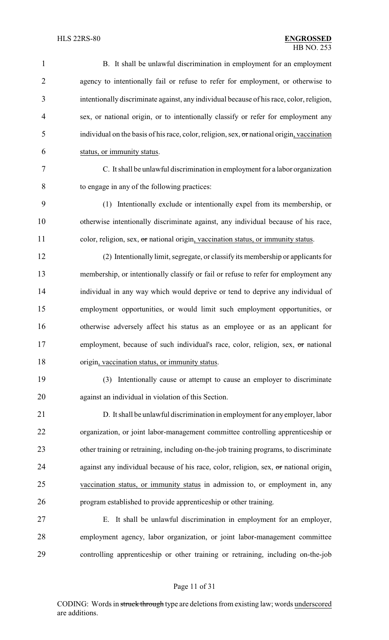| $\mathbf{1}$   | B. It shall be unlawful discrimination in employment for an employment                             |
|----------------|----------------------------------------------------------------------------------------------------|
| $\overline{2}$ | agency to intentionally fail or refuse to refer for employment, or otherwise to                    |
| 3              | intentionally discriminate against, any individual because of his race, color, religion,           |
| $\overline{4}$ | sex, or national origin, or to intentionally classify or refer for employment any                  |
| 5              | individual on the basis of his race, color, religion, sex, $\sigma$ r national origin, vaccination |
| 6              | status, or immunity status.                                                                        |
| 7              | C. It shall be unlawful discrimination in employment for a labor organization                      |
| 8              | to engage in any of the following practices:                                                       |
| 9              | Intentionally exclude or intentionally expel from its membership, or<br>(1)                        |
| 10             | otherwise intentionally discriminate against, any individual because of his race,                  |
| 11             | color, religion, sex, or national origin, vaccination status, or immunity status.                  |
| 12             | (2) Intentionally limit, segregate, or classify its membership or applicants for                   |
| 13             | membership, or intentionally classify or fail or refuse to refer for employment any                |
| 14             | individual in any way which would deprive or tend to deprive any individual of                     |
| 15             | employment opportunities, or would limit such employment opportunities, or                         |
| 16             | otherwise adversely affect his status as an employee or as an applicant for                        |
| 17             | employment, because of such individual's race, color, religion, sex, or national                   |
| 18             | origin, vaccination status, or immunity status.                                                    |
| 19             | Intentionally cause or attempt to cause an employer to discriminate<br>(3)                         |
| 20             | against an individual in violation of this Section.                                                |
| 21             | D. It shall be unlawful discrimination in employment for any employer, labor                       |
| 22             | organization, or joint labor-management committee controlling apprenticeship or                    |
| 23             | other training or retraining, including on-the-job training programs, to discriminate              |
| 24             | against any individual because of his race, color, religion, sex, or national origin,              |
| 25             | vaccination status, or immunity status in admission to, or employment in, any                      |
| 26             | program established to provide apprenticeship or other training.                                   |
| 27             | E. It shall be unlawful discrimination in employment for an employer,                              |
| 28             | employment agency, labor organization, or joint labor-management committee                         |
| 29             | controlling apprenticeship or other training or retraining, including on-the-job                   |

# Page 11 of 31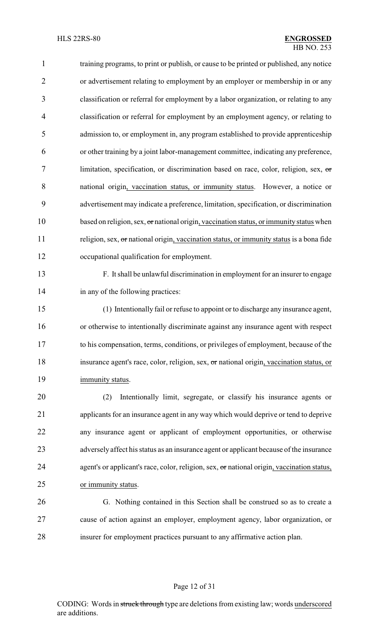training programs, to print or publish, or cause to be printed or published, any notice or advertisement relating to employment by an employer or membership in or any classification or referral for employment by a labor organization, or relating to any classification or referral for employment by an employment agency, or relating to admission to, or employment in, any program established to provide apprenticeship or other training by a joint labor-management committee, indicating any preference, limitation, specification, or discrimination based on race, color, religion, sex, or national origin, vaccination status, or immunity status. However, a notice or advertisement may indicate a preference, limitation, specification, or discrimination 10 based on religion, sex, or national origin, vaccination status, or immunity status when 11 religion, sex, or national origin, vaccination status, or immunity status is a bona fide occupational qualification for employment.

- F. It shall be unlawful discrimination in employment for an insurer to engage 14 in any of the following practices:
- (1) Intentionally fail or refuse to appoint or to discharge any insurance agent, or otherwise to intentionally discriminate against any insurance agent with respect to his compensation, terms, conditions, or privileges of employment, because of the insurance agent's race, color, religion, sex, or national origin, vaccination status, or immunity status.
- (2) Intentionally limit, segregate, or classify his insurance agents or applicants for an insurance agent in any way which would deprive or tend to deprive any insurance agent or applicant of employment opportunities, or otherwise adversely affect his status as an insurance agent or applicant because of the insurance 24 agent's or applicant's race, color, religion, sex, or national origin, vaccination status, or immunity status.
- G. Nothing contained in this Section shall be construed so as to create a cause of action against an employer, employment agency, labor organization, or insurer for employment practices pursuant to any affirmative action plan.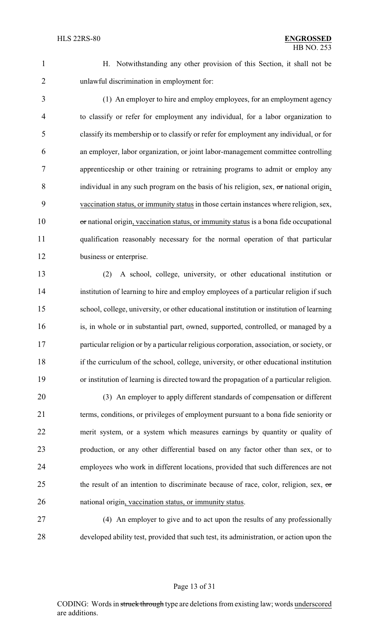- 
- 

 H. Notwithstanding any other provision of this Section, it shall not be unlawful discrimination in employment for:

 (1) An employer to hire and employ employees, for an employment agency to classify or refer for employment any individual, for a labor organization to classify its membership or to classify or refer for employment any individual, or for an employer, labor organization, or joint labor-management committee controlling apprenticeship or other training or retraining programs to admit or employ any 8 individual in any such program on the basis of his religion, sex, or national origin, vaccination status, or immunity status in those certain instances where religion, sex, 10 or national origin, vaccination status, or immunity status is a bona fide occupational qualification reasonably necessary for the normal operation of that particular business or enterprise.

 (2) A school, college, university, or other educational institution or institution of learning to hire and employ employees of a particular religion if such school, college, university, or other educational institution or institution of learning is, in whole or in substantial part, owned, supported, controlled, or managed by a particular religion or by a particular religious corporation, association, or society, or if the curriculum of the school, college, university, or other educational institution or institution of learning is directed toward the propagation of a particular religion.

 (3) An employer to apply different standards of compensation or different terms, conditions, or privileges of employment pursuant to a bona fide seniority or merit system, or a system which measures earnings by quantity or quality of production, or any other differential based on any factor other than sex, or to employees who work in different locations, provided that such differences are not 25 the result of an intention to discriminate because of race, color, religion, sex,  $\sigma$ national origin, vaccination status, or immunity status.

 (4) An employer to give and to act upon the results of any professionally developed ability test, provided that such test, its administration, or action upon the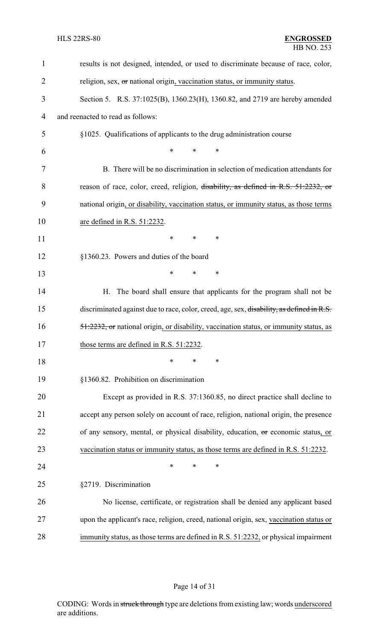| $\mathbf{1}$   | results is not designed, intended, or used to discriminate because of race, color,        |
|----------------|-------------------------------------------------------------------------------------------|
| $\overline{2}$ | religion, sex, or national origin, vaccination status, or immunity status.                |
| 3              | Section 5. R.S. 37:1025(B), 1360.23(H), 1360.82, and 2719 are hereby amended              |
| $\overline{4}$ | and reenacted to read as follows:                                                         |
| 5              | §1025. Qualifications of applicants to the drug administration course                     |
| 6              | *<br>$\ast$<br>$\ast$                                                                     |
| 7              | B. There will be no discrimination in selection of medication attendants for              |
| 8              | reason of race, color, creed, religion, disability, as defined in R.S. 51:2232, or        |
| 9              | national origin, or disability, vaccination status, or immunity status, as those terms    |
| 10             | are defined in R.S. 51:2232.                                                              |
| 11             | $\ast$<br>*<br>$\ast$                                                                     |
| 12             | §1360.23. Powers and duties of the board                                                  |
| 13             | $\ast$<br>$\ast$<br>∗                                                                     |
| 14             | Н.<br>The board shall ensure that applicants for the program shall not be                 |
| 15             | discriminated against due to race, color, creed, age, sex, disability, as defined in R.S. |
| 16             | 51.2232, or national origin, or disability, vaccination status, or immunity status, as    |
| 17             | those terms are defined in R.S. 51:2232                                                   |
| 18             | $\ast$<br>∗<br>∗                                                                          |
| 19             | §1360.82. Prohibition on discrimination                                                   |
| 20             | Except as provided in R.S. 37:1360.85, no direct practice shall decline to                |
| 21             | accept any person solely on account of race, religion, national origin, the presence      |
| 22             | of any sensory, mental, or physical disability, education, or economic status, or         |
| 23             | vaccination status or immunity status, as those terms are defined in R.S. 51:2232.        |
| 24             | $\ast$<br>$\ast$<br>∗                                                                     |
| 25             | §2719. Discrimination                                                                     |
| 26             | No license, certificate, or registration shall be denied any applicant based              |
| 27             | upon the applicant's race, religion, creed, national origin, sex, vaccination status or   |
| 28             | immunity status, as those terms are defined in R.S. 51:2232, or physical impairment       |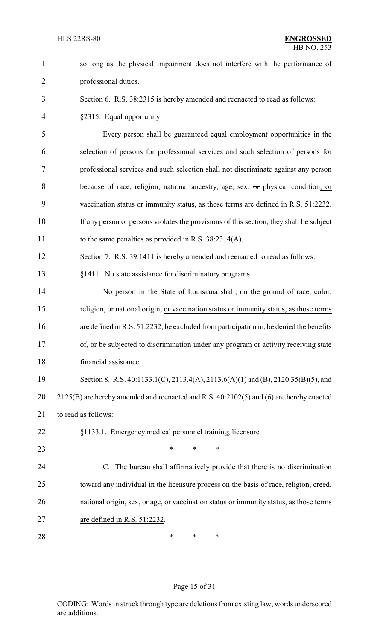| $\mathbf{1}$   | so long as the physical impairment does not interfere with the performance of           |
|----------------|-----------------------------------------------------------------------------------------|
| $\overline{2}$ | professional duties.                                                                    |
| 3              | Section 6. R.S. 38:2315 is hereby amended and reenacted to read as follows:             |
| $\overline{4}$ | §2315. Equal opportunity                                                                |
| 5              | Every person shall be guaranteed equal employment opportunities in the                  |
| 6              | selection of persons for professional services and such selection of persons for        |
| 7              | professional services and such selection shall not discriminate against any person      |
| 8              | because of race, religion, national ancestry, age, sex, or physical condition, or       |
| 9              | vaccination status or immunity status, as those terms are defined in R.S. 51:2232.      |
| 10             | If any person or persons violates the provisions of this section, they shall be subject |
| 11             | to the same penalties as provided in R.S. $38:2314(A)$ .                                |
| 12             | Section 7. R.S. 39:1411 is hereby amended and reenacted to read as follows:             |
| 13             | §1411. No state assistance for discriminatory programs                                  |
| 14             | No person in the State of Louisiana shall, on the ground of race, color,                |
| 15             | religion, or national origin, or vaccination status or immunity status, as those terms  |
| 16             | are defined in R.S. 51:2232, be excluded from participation in, be denied the benefits  |
| 17             | of, or be subjected to discrimination under any program or activity receiving state     |
| 18             | financial assistance.                                                                   |
| 19             | Section 8. R.S. 40:1133.1(C), 2113.4(A), 2113.6(A)(1) and (B), 2120.35(B)(5), and       |
| 20             | 2125(B) are hereby amended and reenacted and R.S. 40:2102(5) and (6) are hereby enacted |
| 21             | to read as follows:                                                                     |
| 22             | §1133.1. Emergency medical personnel training; licensure                                |
| 23             | $\ast$<br>∗<br>*                                                                        |
| 24             | C. The bureau shall affirmatively provide that there is no discrimination               |
| 25             | toward any individual in the licensure process on the basis of race, religion, creed,   |
| 26             | national origin, sex, or age, or vaccination status or immunity status, as those terms  |
| 27             | are defined in R.S. 51:2232.                                                            |
| 28             | ∗<br>∗<br>∗                                                                             |

# Page 15 of 31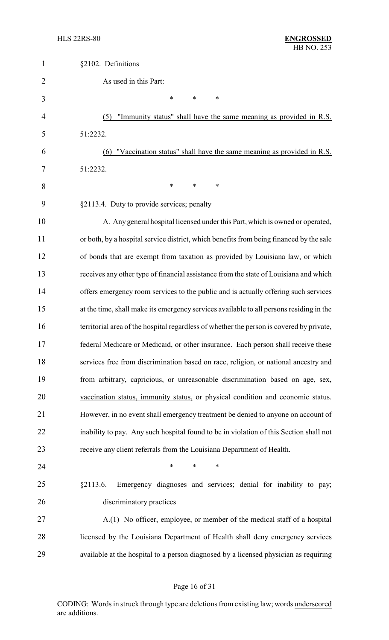| $\mathbf{1}$   | §2102. Definitions                                                                       |
|----------------|------------------------------------------------------------------------------------------|
| $\overline{2}$ | As used in this Part:                                                                    |
| 3              | $\ast$<br>*<br>*                                                                         |
| $\overline{4}$ | "Immunity status" shall have the same meaning as provided in R.S.<br>(5)                 |
| 5              | 51:2232.                                                                                 |
| 6              | "Vaccination status" shall have the same meaning as provided in R.S.<br>(6)              |
| 7              | <u>51:2232.</u>                                                                          |
| 8              | $\ast$<br>∗<br>*                                                                         |
| 9              | §2113.4. Duty to provide services; penalty                                               |
| 10             | A. Any general hospital licensed under this Part, which is owned or operated,            |
| 11             | or both, by a hospital service district, which benefits from being financed by the sale  |
| 12             | of bonds that are exempt from taxation as provided by Louisiana law, or which            |
| 13             | receives any other type of financial assistance from the state of Louisiana and which    |
| 14             | offers emergency room services to the public and is actually offering such services      |
| 15             | at the time, shall make its emergency services available to all persons residing in the  |
| 16             | territorial area of the hospital regardless of whether the person is covered by private, |
| 17             | federal Medicare or Medicaid, or other insurance. Each person shall receive these        |
| 18             | services free from discrimination based on race, religion, or national ancestry and      |
| 19             | from arbitrary, capricious, or unreasonable discrimination based on age, sex,            |
| 20             | vaccination status, immunity status, or physical condition and economic status.          |
| 21             | However, in no event shall emergency treatment be denied to anyone on account of         |
| 22             | inability to pay. Any such hospital found to be in violation of this Section shall not   |
| 23             | receive any client referrals from the Louisiana Department of Health.                    |
| 24             | $\ast$<br>*<br>*                                                                         |
| 25             | §2113.6.<br>Emergency diagnoses and services; denial for inability to pay;               |
| 26             | discriminatory practices                                                                 |
| 27             | A.(1) No officer, employee, or member of the medical staff of a hospital                 |
| 28             | licensed by the Louisiana Department of Health shall deny emergency services             |
| 29             | available at the hospital to a person diagnosed by a licensed physician as requiring     |

# Page 16 of 31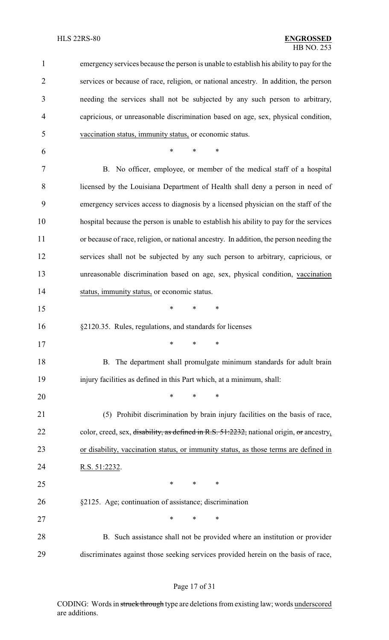| $\mathbf{1}$   | emergency services because the person is unable to establish his ability to pay for the  |
|----------------|------------------------------------------------------------------------------------------|
| $\overline{2}$ | services or because of race, religion, or national ancestry. In addition, the person     |
| 3              | needing the services shall not be subjected by any such person to arbitrary,             |
| 4              | capricious, or unreasonable discrimination based on age, sex, physical condition,        |
| 5              | vaccination status, immunity status, or economic status.                                 |
| 6              | $\ast$<br>*<br>*                                                                         |
| 7              | B. No officer, employee, or member of the medical staff of a hospital                    |
| 8              | licensed by the Louisiana Department of Health shall deny a person in need of            |
| 9              | emergency services access to diagnosis by a licensed physician on the staff of the       |
| 10             | hospital because the person is unable to establish his ability to pay for the services   |
| 11             | or because of race, religion, or national ancestry. In addition, the person needing the  |
| 12             | services shall not be subjected by any such person to arbitrary, capricious, or          |
| 13             | unreasonable discrimination based on age, sex, physical condition, vaccination           |
| 14             | status, immunity status, or economic status.                                             |
| 15             | $\ast$<br>*<br>*                                                                         |
| 16             | §2120.35. Rules, regulations, and standards for licenses                                 |
| 17             |                                                                                          |
| 18             | B. The department shall promulgate minimum standards for adult brain                     |
| 19             | injury facilities as defined in this Part which, at a minimum, shall:                    |
| 20             | $\ast$<br>*<br>*                                                                         |
| 21             | (5) Prohibit discrimination by brain injury facilities on the basis of race,             |
| 22             | color, creed, sex, disability, as defined in R.S. 51:2232, national origin, or ancestry, |
| 23             | or disability, vaccination status, or immunity status, as those terms are defined in     |
| 24             | <u>R.S. 51:2232.</u>                                                                     |
| 25             | ∗<br>∗<br>∗                                                                              |
| 26             | §2125. Age; continuation of assistance; discrimination                                   |
| 27             | *<br>∗<br>*                                                                              |
| 28             | B. Such assistance shall not be provided where an institution or provider                |
| 29             | discriminates against those seeking services provided herein on the basis of race,       |

Page 17 of 31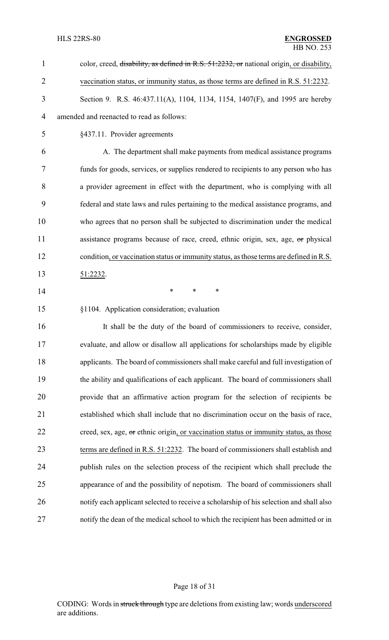| $\mathbf{1}$   | color, creed, disability, as defined in R.S. 51:2232, or national origin, or disability,    |
|----------------|---------------------------------------------------------------------------------------------|
| 2              | vaccination status, or immunity status, as those terms are defined in R.S. 51:2232.         |
| 3              | Section 9. R.S. 46:437.11(A), 1104, 1134, 1154, 1407(F), and 1995 are hereby                |
| $\overline{4}$ | amended and reenacted to read as follows:                                                   |
| 5              | §437.11. Provider agreements                                                                |
| 6              | A. The department shall make payments from medical assistance programs                      |
| 7              | funds for goods, services, or supplies rendered to recipients to any person who has         |
| 8              | a provider agreement in effect with the department, who is complying with all               |
| 9              | federal and state laws and rules pertaining to the medical assistance programs, and         |
| 10             | who agrees that no person shall be subjected to discrimination under the medical            |
| 11             | assistance programs because of race, creed, ethnic origin, sex, age, or physical            |
| 12             | condition, or vaccination status or immunity status, as those terms are defined in R.S.     |
| 13             | 51:2232.                                                                                    |
| 14             | *<br>∗<br>$\ast$                                                                            |
| 15             | §1104. Application consideration; evaluation                                                |
| 16             | It shall be the duty of the board of commissioners to receive, consider,                    |
| 17             | evaluate, and allow or disallow all applications for scholarships made by eligible          |
| 18             | applicants. The board of commissioners shall make careful and full investigation of         |
| 19             | the ability and qualifications of each applicant. The board of commissioners shall          |
| 20             | provide that an affirmative action program for the selection of recipients be               |
| 21             | established which shall include that no discrimination occur on the basis of race,          |
| 22             | creed, sex, age, $\sigma$ ethnic origin, or vaccination status or immunity status, as those |
| 23             | terms are defined in R.S. 51:2232. The board of commissioners shall establish and           |
| 24             | publish rules on the selection process of the recipient which shall preclude the            |
| 25             | appearance of and the possibility of nepotism. The board of commissioners shall             |
| 26             | notify each applicant selected to receive a scholarship of his selection and shall also     |
| 27             | notify the dean of the medical school to which the recipient has been admitted or in        |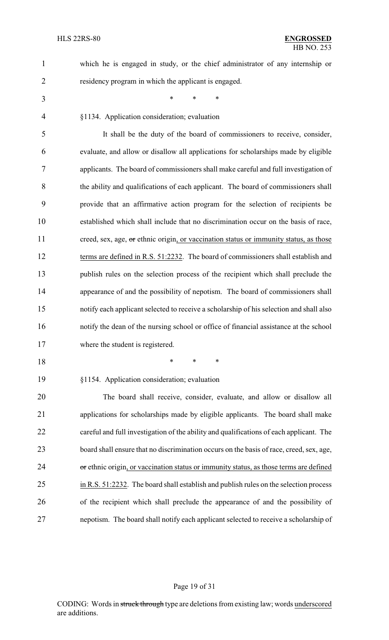which he is engaged in study, or the chief administrator of any internship or residency program in which the applicant is engaged.

\* \* \*

§1134. Application consideration; evaluation

 It shall be the duty of the board of commissioners to receive, consider, evaluate, and allow or disallow all applications for scholarships made by eligible applicants. The board of commissioners shall make careful and full investigation of the ability and qualifications of each applicant. The board of commissioners shall provide that an affirmative action program for the selection of recipients be established which shall include that no discrimination occur on the basis of race, 11 creed, sex, age, or ethnic origin, or vaccination status or immunity status, as those terms are defined in R.S. 51:2232. The board of commissioners shall establish and publish rules on the selection process of the recipient which shall preclude the 14 appearance of and the possibility of nepotism. The board of commissioners shall notify each applicant selected to receive a scholarship of his selection and shall also notify the dean of the nursing school or office of financial assistance at the school 17 where the student is registered.

\* \* \*

§1154. Application consideration; evaluation

 The board shall receive, consider, evaluate, and allow or disallow all applications for scholarships made by eligible applicants. The board shall make careful and full investigation of the ability and qualifications of each applicant. The board shall ensure that no discrimination occurs on the basis of race, creed, sex, age, 24 or ethnic origin, or vaccination status or immunity status, as those terms are defined in R.S. 51:2232. The board shall establish and publish rules on the selection process of the recipient which shall preclude the appearance of and the possibility of nepotism. The board shall notify each applicant selected to receive a scholarship of

#### Page 19 of 31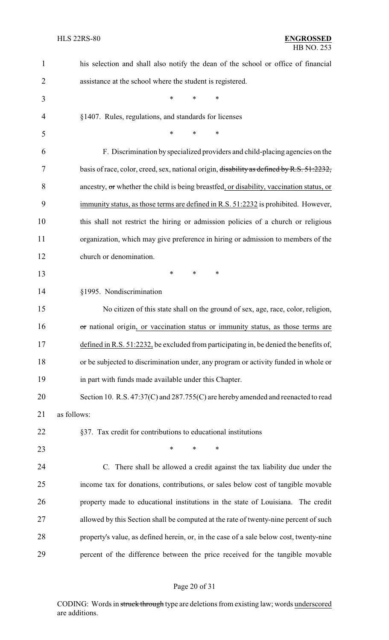| $\mathbf{1}$   | his selection and shall also notify the dean of the school or office of financial         |
|----------------|-------------------------------------------------------------------------------------------|
| 2              | assistance at the school where the student is registered.                                 |
| 3              | $\ast$<br>*                                                                               |
| $\overline{4}$ | §1407. Rules, regulations, and standards for licenses                                     |
| 5              | *<br>∗                                                                                    |
| 6              | F. Discrimination by specialized providers and child-placing agencies on the              |
| 7              | basis of race, color, creed, sex, national origin, disability as defined by R.S. 51:2232, |
| 8              | ancestry, or whether the child is being breastfed, or disability, vaccination status, or  |
| 9              | immunity status, as those terms are defined in R.S. 51:2232 is prohibited. However,       |
| 10             | this shall not restrict the hiring or admission policies of a church or religious         |
| 11             | organization, which may give preference in hiring or admission to members of the          |
| 12             | church or denomination.                                                                   |
| 13             | ∗<br>*<br>∗                                                                               |
| 14             | §1995. Nondiscrimination                                                                  |
| 15             | No citizen of this state shall on the ground of sex, age, race, color, religion,          |
| 16             | or national origin, or vaccination status or immunity status, as those terms are          |
| 17             | defined in R.S. 51:2232, be excluded from participating in, be denied the benefits of,    |
| 18             | or be subjected to discrimination under, any program or activity funded in whole or       |
| 19             | in part with funds made available under this Chapter.                                     |
| 20             | Section 10. R.S. 47:37(C) and 287.755(C) are hereby amended and reenacted to read         |
| 21             | as follows:                                                                               |
| 22             | §37. Tax credit for contributions to educational institutions                             |
| 23             | $\ast$<br>∗<br>∗                                                                          |
| 24             | C. There shall be allowed a credit against the tax liability due under the                |
| 25             | income tax for donations, contributions, or sales below cost of tangible movable          |
| 26             | property made to educational institutions in the state of Louisiana. The credit           |
| 27             | allowed by this Section shall be computed at the rate of twenty-nine percent of such      |
| 28             | property's value, as defined herein, or, in the case of a sale below cost, twenty-nine    |
| 29             | percent of the difference between the price received for the tangible movable             |

# Page 20 of 31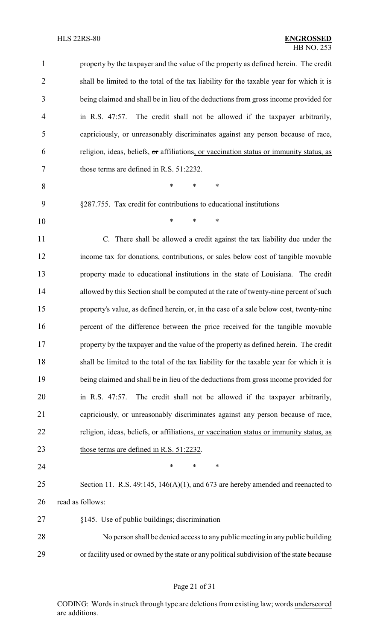| $\mathbf{1}$   | property by the taxpayer and the value of the property as defined herein. The credit     |
|----------------|------------------------------------------------------------------------------------------|
| $\overline{2}$ | shall be limited to the total of the tax liability for the taxable year for which it is  |
| 3              | being claimed and shall be in lieu of the deductions from gross income provided for      |
| $\overline{4}$ | in R.S. 47:57. The credit shall not be allowed if the taxpayer arbitrarily,              |
| 5              | capriciously, or unreasonably discriminates against any person because of race,          |
| 6              | religion, ideas, beliefs, or affiliations, or vaccination status or immunity status, as  |
| 7              | those terms are defined in R.S. 51:2232.                                                 |
| 8              | *<br>*<br>*                                                                              |
| 9              | §287.755. Tax credit for contributions to educational institutions                       |
| 10             | $\ast$<br>$\ast$<br>$\ast$                                                               |
| 11             | C. There shall be allowed a credit against the tax liability due under the               |
| 12             | income tax for donations, contributions, or sales below cost of tangible movable         |
| 13             | property made to educational institutions in the state of Louisiana. The credit          |
| 14             | allowed by this Section shall be computed at the rate of twenty-nine percent of such     |
| 15             | property's value, as defined herein, or, in the case of a sale below cost, twenty-nine   |
| 16             | percent of the difference between the price received for the tangible movable            |
| 17             | property by the taxpayer and the value of the property as defined herein. The credit     |
| 18             | shall be limited to the total of the tax liability for the taxable year for which it is  |
| 19             | being claimed and shall be in lieu of the deductions from gross income provided for      |
| 20             | The credit shall not be allowed if the taxpayer arbitrarily,<br>in R.S. 47:57.           |
| 21             | capriciously, or unreasonably discriminates against any person because of race,          |
| 22             | religion, ideas, beliefs, or affiliations, or vaccination status or immunity status, as  |
| 23             | those terms are defined in R.S. 51:2232.                                                 |
| 24             | ∗<br>∗<br>∗                                                                              |
| 25             | Section 11. R.S. $49:145$ , $146(A)(1)$ , and 673 are hereby amended and reenacted to    |
| 26             | read as follows:                                                                         |
| 27             | §145. Use of public buildings; discrimination                                            |
| 28             | No person shall be denied access to any public meeting in any public building            |
| 29             | or facility used or owned by the state or any political subdivision of the state because |
|                |                                                                                          |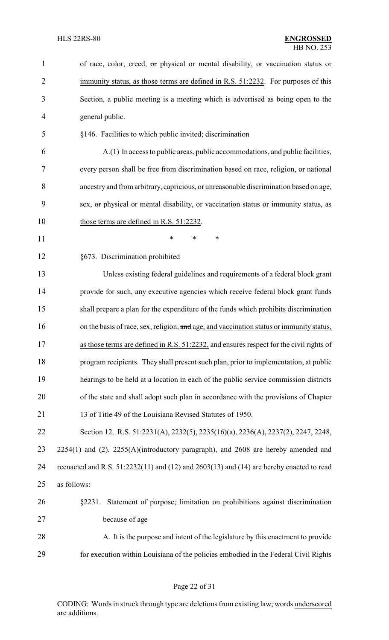| $\mathbf{1}$   | of race, color, creed, or physical or mental disability, or vaccination status or           |
|----------------|---------------------------------------------------------------------------------------------|
| $\overline{2}$ | immunity status, as those terms are defined in R.S. 51:2232. For purposes of this           |
| 3              | Section, a public meeting is a meeting which is advertised as being open to the             |
| 4              | general public.                                                                             |
| 5              | §146. Facilities to which public invited; discrimination                                    |
| 6              | A.(1) In access to public areas, public accommodations, and public facilities,              |
| 7              | every person shall be free from discrimination based on race, religion, or national         |
| 8              | ancestry and from arbitrary, capricious, or unreasonable discrimination based on age,       |
| 9              | sex, or physical or mental disability, or vaccination status or immunity status, as         |
| 10             | those terms are defined in R.S. 51:2232.                                                    |
| 11             | $\ast$<br>*<br>*                                                                            |
| 12             | §673. Discrimination prohibited                                                             |
| 13             | Unless existing federal guidelines and requirements of a federal block grant                |
| 14             | provide for such, any executive agencies which receive federal block grant funds            |
| 15             | shall prepare a plan for the expenditure of the funds which prohibits discrimination        |
| 16             | on the basis of race, sex, religion, and age, and vaccination status or immunity status,    |
| 17             | as those terms are defined in R.S. 51:2232, and ensures respect for the civil rights of     |
| 18             | program recipients. They shall present such plan, prior to implementation, at public        |
| 19             | hearings to be held at a location in each of the public service commission districts        |
| 20             | of the state and shall adopt such plan in accordance with the provisions of Chapter         |
| 21             | 13 of Title 49 of the Louisiana Revised Statutes of 1950.                                   |
| 22             | Section 12. R.S. 51:2231(A), 2232(5), 2235(16)(a), 2236(A), 2237(2), 2247, 2248,            |
| 23             | $2254(1)$ and $(2)$ , $2255(A)$ (introductory paragraph), and $2608$ are hereby amended and |
| 24             | reenacted and R.S. 51:2232(11) and (12) and 2603(13) and (14) are hereby enacted to read    |
| 25             | as follows:                                                                                 |
| 26             | §2231. Statement of purpose; limitation on prohibitions against discrimination              |
| 27             | because of age                                                                              |
| $28\,$         | A. It is the purpose and intent of the legislature by this enactment to provide             |
| 29             | for execution within Louisiana of the policies embodied in the Federal Civil Rights         |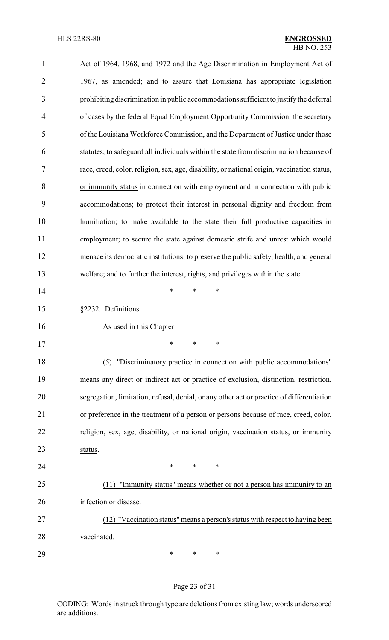| 1              | Act of 1964, 1968, and 1972 and the Age Discrimination in Employment Act of                 |
|----------------|---------------------------------------------------------------------------------------------|
| $\overline{2}$ | 1967, as amended; and to assure that Louisiana has appropriate legislation                  |
| 3              | prohibiting discrimination in public accommodations sufficient to justify the deferral      |
| $\overline{4}$ | of cases by the federal Equal Employment Opportunity Commission, the secretary              |
| 5              | of the Louisiana Workforce Commission, and the Department of Justice under those            |
| 6              | statutes; to safeguard all individuals within the state from discrimination because of      |
| 7              | race, creed, color, religion, sex, age, disability, or national origin, vaccination status, |
| 8              | or immunity status in connection with employment and in connection with public              |
| 9              | accommodations; to protect their interest in personal dignity and freedom from              |
| 10             | humiliation; to make available to the state their full productive capacities in             |
| 11             | employment; to secure the state against domestic strife and unrest which would              |
| 12             | menace its democratic institutions; to preserve the public safety, health, and general      |
| 13             | welfare; and to further the interest, rights, and privileges within the state.              |
| 14             | $\ast$<br>$\ast$<br>∗                                                                       |
| 15             | §2232. Definitions                                                                          |
| 16             | As used in this Chapter:                                                                    |
| 17             |                                                                                             |
| 18             | (5) "Discriminatory practice in connection with public accommodations"                      |
| 19             | means any direct or indirect act or practice of exclusion, distinction, restriction,        |
| 20             | segregation, limitation, refusal, denial, or any other act or practice of differentiation   |
| 21             | or preference in the treatment of a person or persons because of race, creed, color,        |
| 22             | religion, sex, age, disability, or national origin, vaccination status, or immunity         |
| 23             | status.                                                                                     |
| 24             | ∗<br>∗<br>∗                                                                                 |
| 25             | (11) "Immunity status" means whether or not a person has immunity to an                     |
| 26             | infection or disease.                                                                       |
| 27             | (12) "Vaccination status" means a person's status with respect to having been               |
| 28             | vaccinated.                                                                                 |
| 29             | $\ast$<br>∗<br>∗                                                                            |

# Page 23 of 31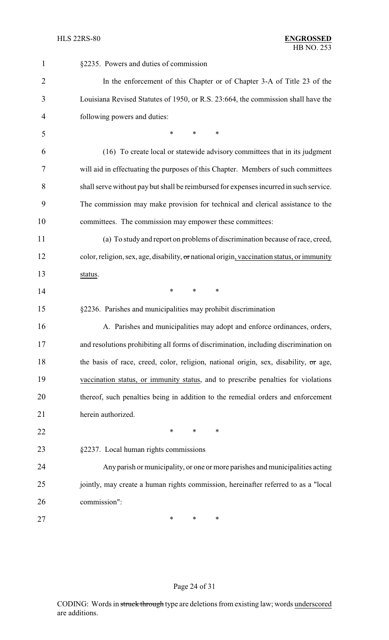| $\mathbf{1}$   | §2235. Powers and duties of commission                                                       |
|----------------|----------------------------------------------------------------------------------------------|
| $\overline{2}$ | In the enforcement of this Chapter or of Chapter 3-A of Title 23 of the                      |
| 3              | Louisiana Revised Statutes of 1950, or R.S. 23:664, the commission shall have the            |
| $\overline{4}$ | following powers and duties:                                                                 |
| 5              | $\ast$<br>∗<br>∗                                                                             |
| 6              | (16) To create local or statewide advisory committees that in its judgment                   |
| 7              | will aid in effectuating the purposes of this Chapter. Members of such committees            |
| 8              | shall serve without pay but shall be reimbursed for expenses incurred in such service.       |
| 9              | The commission may make provision for technical and clerical assistance to the               |
| 10             | committees. The commission may empower these committees:                                     |
| 11             | (a) To study and report on problems of discrimination because of race, creed,                |
| 12             | color, religion, sex, age, disability, or national origin, vaccination status, or immunity   |
| 13             | status.                                                                                      |
| 14             | *<br>$\ast$<br>$\ast$                                                                        |
| 15             | §2236. Parishes and municipalities may prohibit discrimination                               |
| 16             | A. Parishes and municipalities may adopt and enforce ordinances, orders,                     |
| 17             | and resolutions prohibiting all forms of discrimination, including discrimination on         |
| 18             | the basis of race, creed, color, religion, national origin, sex, disability, $\sigma$ r age, |
| 19             | vaccination status, or immunity status, and to prescribe penalties for violations            |
| 20             | thereof, such penalties being in addition to the remedial orders and enforcement             |
| 21             | herein authorized.                                                                           |
| 22             | *<br>∗<br>∗                                                                                  |
| 23             | §2237. Local human rights commissions                                                        |
| 24             | Any parish or municipality, or one or more parishes and municipalities acting                |
| 25             | jointly, may create a human rights commission, hereinafter referred to as a "local           |
| 26             | commission":                                                                                 |
| 27             | ∗<br>∗<br>∗                                                                                  |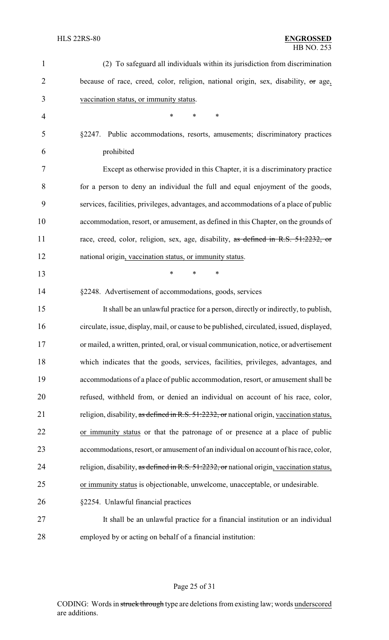| 1              | (2) To safeguard all individuals within its jurisdiction from discrimination              |
|----------------|-------------------------------------------------------------------------------------------|
| $\overline{2}$ | because of race, creed, color, religion, national origin, sex, disability, or age,        |
| 3              | vaccination status, or immunity status.                                                   |
| $\overline{4}$ | *<br>*<br>∗                                                                               |
| 5              | §2247. Public accommodations, resorts, amusements; discriminatory practices               |
| 6              | prohibited                                                                                |
| 7              | Except as otherwise provided in this Chapter, it is a discriminatory practice             |
| 8              | for a person to deny an individual the full and equal enjoyment of the goods,             |
| 9              | services, facilities, privileges, advantages, and accommodations of a place of public     |
| 10             | accommodation, resort, or amusement, as defined in this Chapter, on the grounds of        |
| 11             | race, creed, color, religion, sex, age, disability, as defined in R.S. 51:2232, or        |
| 12             | national origin, vaccination status, or immunity status.                                  |
| 13             | *<br>*<br>*                                                                               |
| 14             | §2248. Advertisement of accommodations, goods, services                                   |
| 15             | It shall be an unlawful practice for a person, directly or indirectly, to publish,        |
| 16             | circulate, issue, display, mail, or cause to be published, circulated, issued, displayed, |
| 17             | or mailed, a written, printed, oral, or visual communication, notice, or advertisement    |
| 18             | which indicates that the goods, services, facilities, privileges, advantages, and         |
| 19             | accommodations of a place of public accommodation, resort, or amusement shall be          |
| 20             | refused, withheld from, or denied an individual on account of his race, color,            |
| 21             | religion, disability, as defined in R.S. 51:2232, or national origin, vaccination status, |
| 22             | or immunity status or that the patronage of or presence at a place of public              |
| 23             | accommodations, resort, or amusement of an individual on account of his race, color,      |
| 24             | religion, disability, as defined in R.S. 51:2232, or national origin, vaccination status, |
| 25             | or immunity status is objectionable, unwelcome, unacceptable, or undesirable.             |
| 26             | §2254. Unlawful financial practices                                                       |
| 27             | It shall be an unlawful practice for a financial institution or an individual             |
| 28             | employed by or acting on behalf of a financial institution:                               |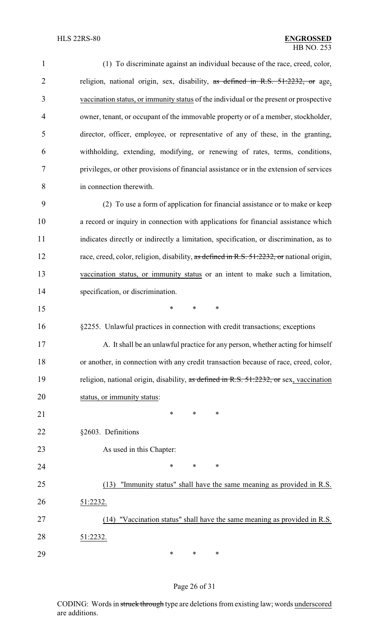| $\mathbf{1}$   | (1) To discriminate against an individual because of the race, creed, color,              |
|----------------|-------------------------------------------------------------------------------------------|
| $\overline{2}$ | religion, national origin, sex, disability, as defined in R.S. 51:2232, or age,           |
| 3              | vaccination status, or immunity status of the individual or the present or prospective    |
| $\overline{4}$ | owner, tenant, or occupant of the immovable property or of a member, stockholder,         |
| 5              | director, officer, employee, or representative of any of these, in the granting,          |
| 6              | withholding, extending, modifying, or renewing of rates, terms, conditions,               |
| 7              | privileges, or other provisions of financial assistance or in the extension of services   |
| 8              | in connection therewith.                                                                  |
| 9              | (2) To use a form of application for financial assistance or to make or keep              |
| 10             | a record or inquiry in connection with applications for financial assistance which        |
| 11             | indicates directly or indirectly a limitation, specification, or discrimination, as to    |
| 12             | race, creed, color, religion, disability, as defined in R.S. 51:2232, or national origin, |
| 13             | vaccination status, or immunity status or an intent to make such a limitation,            |
| 14             | specification, or discrimination.                                                         |
| 15             | $\ast$<br>*<br>∗                                                                          |
| 16             | §2255. Unlawful practices in connection with credit transactions; exceptions              |
| 17             | A. It shall be an unlawful practice for any person, whether acting for himself            |
| 18             | or another, in connection with any credit transaction because of race, creed, color,      |
| 19             | religion, national origin, disability, as defined in R.S. 51:2232, or sex, vaccination    |
| 20             | status, or immunity status:                                                               |
| 21             | ∗<br>*<br>*                                                                               |
| 22             | §2603. Definitions                                                                        |
| 23             | As used in this Chapter:                                                                  |
| 24             | *<br>∗<br>∗                                                                               |
| 25             | "Immunity status" shall have the same meaning as provided in R.S.<br>(13)                 |
| 26             | 51:2232.                                                                                  |
| 27             | "Vaccination status" shall have the same meaning as provided in R.S.<br>(14)              |
| 28             | <u>51:2232.</u>                                                                           |
| 29             | ∗<br>∗<br>*                                                                               |

# Page 26 of 31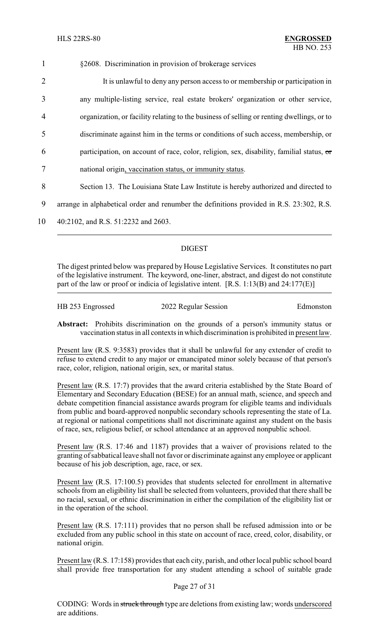1 §2608. Discrimination in provision of brokerage services

 It is unlawful to deny any person access to or membership or participation in any multiple-listing service, real estate brokers' organization or other service, organization, or facility relating to the business of selling or renting dwellings, or to discriminate against him in the terms or conditions of such access, membership, or participation, on account of race, color, religion, sex, disability, familial status,  $\sigma$  national origin, vaccination status, or immunity status. Section 13. The Louisiana State Law Institute is hereby authorized and directed to arrange in alphabetical order and renumber the definitions provided in R.S. 23:302, R.S.

10 40:2102, and R.S. 51:2232 and 2603.

### DIGEST

The digest printed below was prepared by House Legislative Services. It constitutes no part of the legislative instrument. The keyword, one-liner, abstract, and digest do not constitute part of the law or proof or indicia of legislative intent. [R.S. 1:13(B) and 24:177(E)]

HB 253 Engrossed 2022 Regular Session Edmonston

**Abstract:** Prohibits discrimination on the grounds of a person's immunity status or vaccination status in all contexts in which discrimination is prohibited in present law.

Present law (R.S. 9:3583) provides that it shall be unlawful for any extender of credit to refuse to extend credit to any major or emancipated minor solely because of that person's race, color, religion, national origin, sex, or marital status.

Present law (R.S. 17:7) provides that the award criteria established by the State Board of Elementary and Secondary Education (BESE) for an annual math, science, and speech and debate competition financial assistance awards program for eligible teams and individuals from public and board-approved nonpublic secondary schools representing the state of La. at regional or national competitions shall not discriminate against any student on the basis of race, sex, religious belief, or school attendance at an approved nonpublic school.

Present law (R.S. 17:46 and 1187) provides that a waiver of provisions related to the granting of sabbatical leave shall not favor or discriminate against any employee or applicant because of his job description, age, race, or sex.

Present law (R.S. 17:100.5) provides that students selected for enrollment in alternative schools from an eligibility list shall be selected from volunteers, provided that there shall be no racial, sexual, or ethnic discrimination in either the compilation of the eligibility list or in the operation of the school.

Present law (R.S. 17:111) provides that no person shall be refused admission into or be excluded from any public school in this state on account of race, creed, color, disability, or national origin.

Present law (R.S. 17:158) provides that each city, parish, and other local public school board shall provide free transportation for any student attending a school of suitable grade

#### Page 27 of 31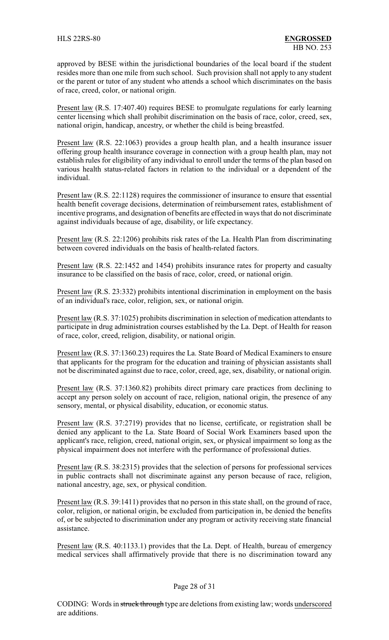approved by BESE within the jurisdictional boundaries of the local board if the student resides more than one mile from such school. Such provision shall not apply to any student or the parent or tutor of any student who attends a school which discriminates on the basis of race, creed, color, or national origin.

Present law (R.S. 17:407.40) requires BESE to promulgate regulations for early learning center licensing which shall prohibit discrimination on the basis of race, color, creed, sex, national origin, handicap, ancestry, or whether the child is being breastfed.

Present law (R.S. 22:1063) provides a group health plan, and a health insurance issuer offering group health insurance coverage in connection with a group health plan, may not establish rules for eligibility of any individual to enroll under the terms of the plan based on various health status-related factors in relation to the individual or a dependent of the individual.

Present law (R.S. 22:1128) requires the commissioner of insurance to ensure that essential health benefit coverage decisions, determination of reimbursement rates, establishment of incentive programs, and designation of benefits are effected in ways that do not discriminate against individuals because of age, disability, or life expectancy.

Present law (R.S. 22:1206) prohibits risk rates of the La. Health Plan from discriminating between covered individuals on the basis of health-related factors.

Present law (R.S. 22:1452 and 1454) prohibits insurance rates for property and casualty insurance to be classified on the basis of race, color, creed, or national origin.

Present law (R.S. 23:332) prohibits intentional discrimination in employment on the basis of an individual's race, color, religion, sex, or national origin.

Present law (R.S. 37:1025) prohibits discrimination in selection of medication attendants to participate in drug administration courses established by the La. Dept. of Health for reason of race, color, creed, religion, disability, or national origin.

Present law (R.S. 37:1360.23) requires the La. State Board of Medical Examiners to ensure that applicants for the program for the education and training of physician assistants shall not be discriminated against due to race, color, creed, age, sex, disability, or national origin.

Present law (R.S. 37:1360.82) prohibits direct primary care practices from declining to accept any person solely on account of race, religion, national origin, the presence of any sensory, mental, or physical disability, education, or economic status.

Present law (R.S. 37:2719) provides that no license, certificate, or registration shall be denied any applicant to the La. State Board of Social Work Examiners based upon the applicant's race, religion, creed, national origin, sex, or physical impairment so long as the physical impairment does not interfere with the performance of professional duties.

Present law (R.S. 38:2315) provides that the selection of persons for professional services in public contracts shall not discriminate against any person because of race, religion, national ancestry, age, sex, or physical condition.

Present law (R.S. 39:1411) provides that no person in this state shall, on the ground of race, color, religion, or national origin, be excluded from participation in, be denied the benefits of, or be subjected to discrimination under any program or activity receiving state financial assistance.

Present law (R.S. 40:1133.1) provides that the La. Dept. of Health, bureau of emergency medical services shall affirmatively provide that there is no discrimination toward any

#### Page 28 of 31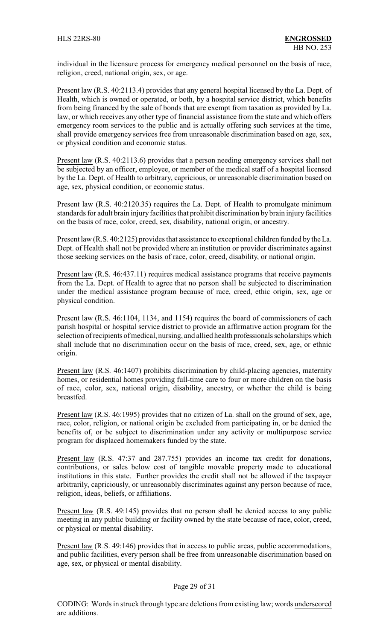individual in the licensure process for emergency medical personnel on the basis of race, religion, creed, national origin, sex, or age.

Present law (R.S. 40:2113.4) provides that any general hospital licensed by the La. Dept. of Health, which is owned or operated, or both, by a hospital service district, which benefits from being financed by the sale of bonds that are exempt from taxation as provided by La. law, or which receives any other type of financial assistance from the state and which offers emergency room services to the public and is actually offering such services at the time, shall provide emergency services free from unreasonable discrimination based on age, sex, or physical condition and economic status.

Present law (R.S. 40:2113.6) provides that a person needing emergency services shall not be subjected by an officer, employee, or member of the medical staff of a hospital licensed by the La. Dept. of Health to arbitrary, capricious, or unreasonable discrimination based on age, sex, physical condition, or economic status.

Present law (R.S. 40:2120.35) requires the La. Dept. of Health to promulgate minimum standards for adult brain injury facilities that prohibit discrimination by brain injury facilities on the basis of race, color, creed, sex, disability, national origin, or ancestry.

Present law (R.S. 40:2125) provides that assistance to exceptional children funded by the La. Dept. of Health shall not be provided where an institution or provider discriminates against those seeking services on the basis of race, color, creed, disability, or national origin.

Present law (R.S. 46:437.11) requires medical assistance programs that receive payments from the La. Dept. of Health to agree that no person shall be subjected to discrimination under the medical assistance program because of race, creed, ethic origin, sex, age or physical condition.

Present law (R.S. 46:1104, 1134, and 1154) requires the board of commissioners of each parish hospital or hospital service district to provide an affirmative action program for the selection of recipients of medical, nursing, and allied health professionals scholarships which shall include that no discrimination occur on the basis of race, creed, sex, age, or ethnic origin.

Present law (R.S. 46:1407) prohibits discrimination by child-placing agencies, maternity homes, or residential homes providing full-time care to four or more children on the basis of race, color, sex, national origin, disability, ancestry, or whether the child is being breastfed.

Present law (R.S. 46:1995) provides that no citizen of La. shall on the ground of sex, age, race, color, religion, or national origin be excluded from participating in, or be denied the benefits of, or be subject to discrimination under any activity or multipurpose service program for displaced homemakers funded by the state.

Present law (R.S. 47:37 and 287.755) provides an income tax credit for donations, contributions, or sales below cost of tangible movable property made to educational institutions in this state. Further provides the credit shall not be allowed if the taxpayer arbitrarily, capriciously, or unreasonably discriminates against any person because of race, religion, ideas, beliefs, or affiliations.

Present law (R.S. 49:145) provides that no person shall be denied access to any public meeting in any public building or facility owned by the state because of race, color, creed, or physical or mental disability.

Present law (R.S. 49:146) provides that in access to public areas, public accommodations, and public facilities, every person shall be free from unreasonable discrimination based on age, sex, or physical or mental disability.

#### Page 29 of 31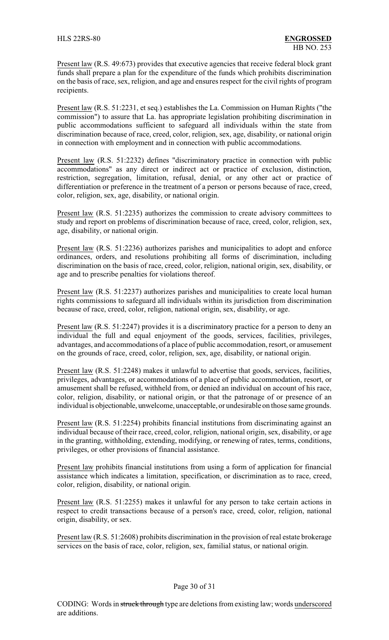Present law (R.S. 49:673) provides that executive agencies that receive federal block grant funds shall prepare a plan for the expenditure of the funds which prohibits discrimination on the basis of race, sex, religion, and age and ensures respect for the civil rights of program recipients.

Present law (R.S. 51:2231, et seq.) establishes the La. Commission on Human Rights ("the commission") to assure that La. has appropriate legislation prohibiting discrimination in public accommodations sufficient to safeguard all individuals within the state from discrimination because of race, creed, color, religion, sex, age, disability, or national origin in connection with employment and in connection with public accommodations.

Present law (R.S. 51:2232) defines "discriminatory practice in connection with public accommodations" as any direct or indirect act or practice of exclusion, distinction, restriction, segregation, limitation, refusal, denial, or any other act or practice of differentiation or preference in the treatment of a person or persons because of race, creed, color, religion, sex, age, disability, or national origin.

Present law (R.S. 51:2235) authorizes the commission to create advisory committees to study and report on problems of discrimination because of race, creed, color, religion, sex, age, disability, or national origin.

Present law (R.S. 51:2236) authorizes parishes and municipalities to adopt and enforce ordinances, orders, and resolutions prohibiting all forms of discrimination, including discrimination on the basis of race, creed, color, religion, national origin, sex, disability, or age and to prescribe penalties for violations thereof.

Present law (R.S. 51:2237) authorizes parishes and municipalities to create local human rights commissions to safeguard all individuals within its jurisdiction from discrimination because of race, creed, color, religion, national origin, sex, disability, or age.

Present law (R.S. 51:2247) provides it is a discriminatory practice for a person to deny an individual the full and equal enjoyment of the goods, services, facilities, privileges, advantages, and accommodations of a place of public accommodation, resort, or amusement on the grounds of race, creed, color, religion, sex, age, disability, or national origin.

Present law (R.S. 51:2248) makes it unlawful to advertise that goods, services, facilities, privileges, advantages, or accommodations of a place of public accommodation, resort, or amusement shall be refused, withheld from, or denied an individual on account of his race, color, religion, disability, or national origin, or that the patronage of or presence of an individual is objectionable, unwelcome, unacceptable, or undesirable on those same grounds.

Present law (R.S. 51:2254) prohibits financial institutions from discriminating against an individual because of their race, creed, color, religion, national origin, sex, disability, or age in the granting, withholding, extending, modifying, or renewing of rates, terms, conditions, privileges, or other provisions of financial assistance.

Present law prohibits financial institutions from using a form of application for financial assistance which indicates a limitation, specification, or discrimination as to race, creed, color, religion, disability, or national origin.

Present law (R.S. 51:2255) makes it unlawful for any person to take certain actions in respect to credit transactions because of a person's race, creed, color, religion, national origin, disability, or sex.

Present law (R.S. 51:2608) prohibits discrimination in the provision of real estate brokerage services on the basis of race, color, religion, sex, familial status, or national origin.

#### Page 30 of 31